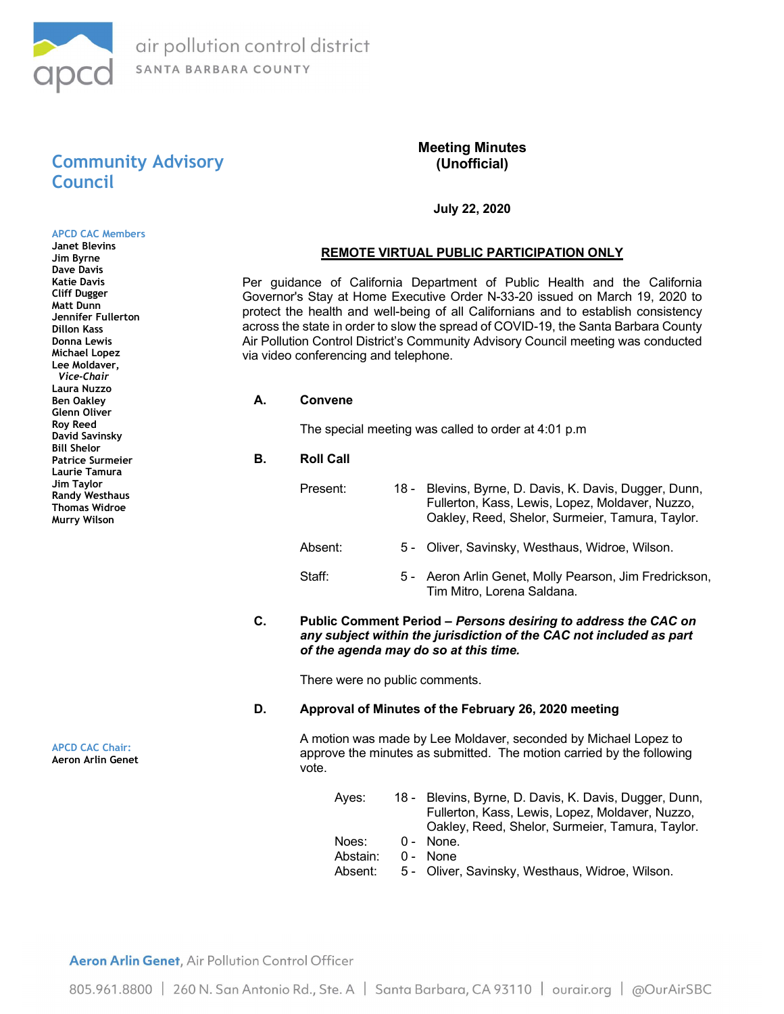

# Community Advisory Council

APCD CAC Members Janet Blevins Jim Byrne Dave Davis Katie Davis Cliff Dugger Matt Dunn Jennifer Fullerton Dillon Kass Donna Lewis Michael Lopez Lee Moldaver, Vice-Chair Laura Nuzzo Ben Oakley Glenn Oliver Roy Reed David Savinsky Bill Shelor Patrice Surmeier Laurie Tamura Jim Taylor Randy Westhaus Thomas Widroe Murry Wilson

# Meeting Minutes (Unofficial)

## July 22, 2020

## REMOTE VIRTUAL PUBLIC PARTICIPATION ONLY

Per guidance of California Department of Public Health and the California Governor's Stay at Home Executive Order N-33-20 issued on March 19, 2020 to protect the health and well-being of all Californians and to establish consistency across the state in order to slow the spread of COVID-19, the Santa Barbara County Air Pollution Control District's Community Advisory Council meeting was conducted via video conferencing and telephone.

A. Convene

The special meeting was called to order at 4:01 p.m

- B. Roll Call
	- Present: 18 Blevins, Byrne, D. Davis, K. Davis, Dugger, Dunn, Fullerton, Kass, Lewis, Lopez, Moldaver, Nuzzo, Oakley, Reed, Shelor, Surmeier, Tamura, Taylor.
	- Absent: 5 Oliver, Savinsky, Westhaus, Widroe, Wilson.
	- Staff: 5 Aeron Arlin Genet, Molly Pearson, Jim Fredrickson, Tim Mitro, Lorena Saldana.
- C. Public Comment Period Persons desiring to address the CAC on any subject within the jurisdiction of the CAC not included as part of the agenda may do so at this time.

There were no public comments.

#### D. Approval of Minutes of the February 26, 2020 meeting

A motion was made by Lee Moldaver, seconded by Michael Lopez to approve the minutes as submitted. The motion carried by the following vote.

Ayes: 18 - Blevins, Byrne, D. Davis, K. Davis, Dugger, Dunn, Fullerton, Kass, Lewis, Lopez, Moldaver, Nuzzo, Oakley, Reed, Shelor, Surmeier, Tamura, Taylor. Noes: 0 - None. Abstain: 0 - None Absent: 5 - Oliver, Savinsky, Westhaus, Widroe, Wilson.

APCD CAC Chair: Aeron Arlin Genet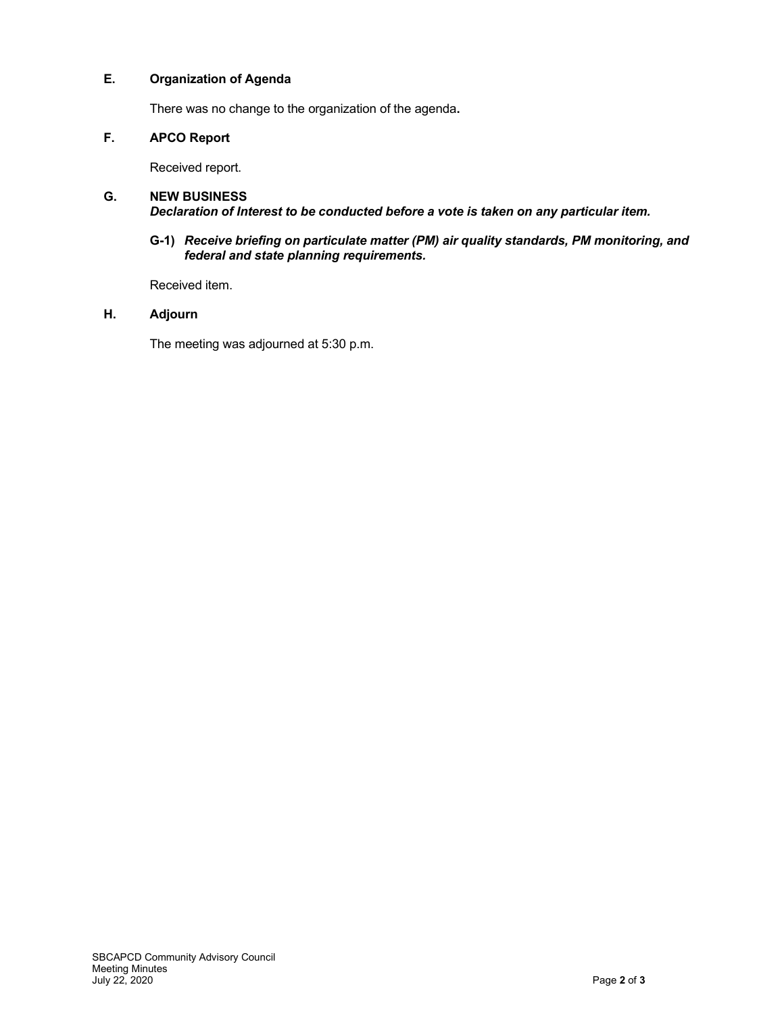# E. Organization of Agenda

There was no change to the organization of the agenda.

# F. APCO Report

Received report.

#### G. NEW BUSINESS Declaration of Interest to be conducted before a vote is taken on any particular item.

#### G-1) Receive briefing on particulate matter (PM) air quality standards, PM monitoring, and federal and state planning requirements.

Received item.

### H. Adjourn

The meeting was adjourned at 5:30 p.m.